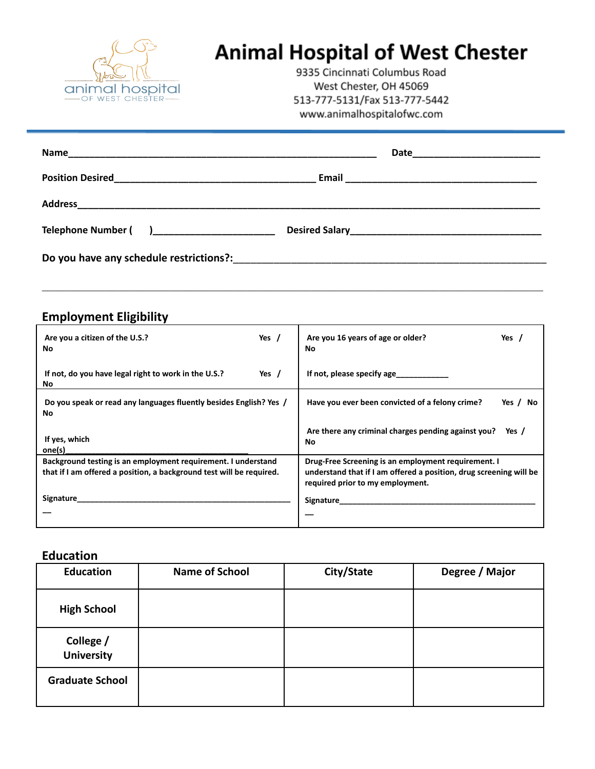

# **Animal Hospital of West Chester**

9335 Cincinnati Columbus Road West Chester, OH 45069 513-777-5131/Fax 513-777-5442 www.animalhospitalofwc.com

| Do you have any schedule restrictions?: |  |  |  |
|-----------------------------------------|--|--|--|

 $\mathcal{L}_\mathcal{L} = \{ \mathcal{L}_\mathcal{L} = \{ \mathcal{L}_\mathcal{L} = \{ \mathcal{L}_\mathcal{L} = \{ \mathcal{L}_\mathcal{L} = \{ \mathcal{L}_\mathcal{L} = \{ \mathcal{L}_\mathcal{L} = \{ \mathcal{L}_\mathcal{L} = \{ \mathcal{L}_\mathcal{L} = \{ \mathcal{L}_\mathcal{L} = \{ \mathcal{L}_\mathcal{L} = \{ \mathcal{L}_\mathcal{L} = \{ \mathcal{L}_\mathcal{L} = \{ \mathcal{L}_\mathcal{L} = \{ \mathcal{L}_\mathcal{$ 

## **Employment Eligibility**

| Are you a citizen of the U.S.?<br>No                                                                                                  | Yes /   | Are you 16 years of age or older?<br>No                                                                                                                       | Yes         |
|---------------------------------------------------------------------------------------------------------------------------------------|---------|---------------------------------------------------------------------------------------------------------------------------------------------------------------|-------------|
| If not, do you have legal right to work in the U.S.?<br><b>No</b>                                                                     | Yes $/$ | If not, please specify age                                                                                                                                    |             |
| Do you speak or read any languages fluently besides English? Yes /<br>No                                                              |         | Have you ever been convicted of a felony crime?                                                                                                               | Yes /<br>No |
| If yes, which<br>one(s)                                                                                                               |         | Are there any criminal charges pending against you?<br>No                                                                                                     | Yes /       |
| Background testing is an employment requirement. I understand<br>that if I am offered a position, a background test will be required. |         | Drug-Free Screening is an employment requirement. I<br>understand that if I am offered a position, drug screening will be<br>required prior to my employment. |             |
| Signature                                                                                                                             |         | Signature                                                                                                                                                     |             |

#### **Education**

| <b>Education</b>               | <b>Name of School</b> | City/State | Degree / Major |
|--------------------------------|-----------------------|------------|----------------|
| <b>High School</b>             |                       |            |                |
| College /<br><b>University</b> |                       |            |                |
| <b>Graduate School</b>         |                       |            |                |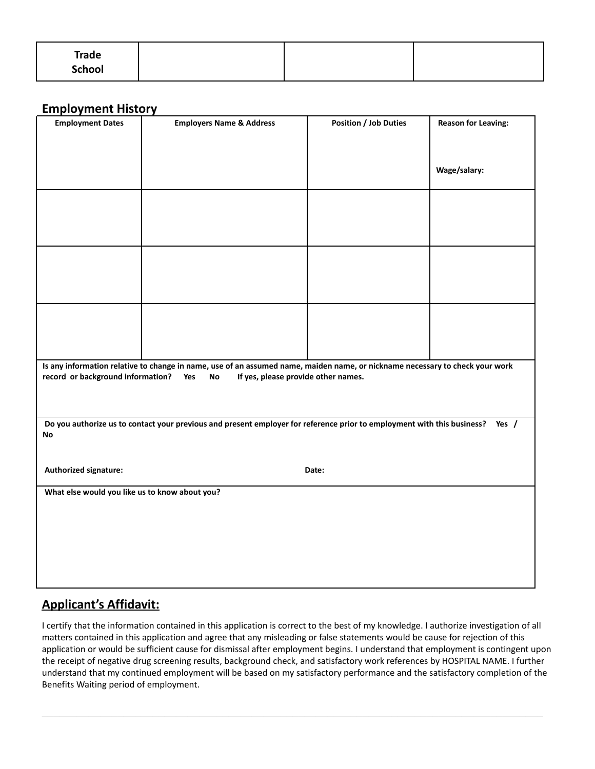| <b>Trade</b><br><b>School</b> |  |  |
|-------------------------------|--|--|
|                               |  |  |

### **Employment History**

| <b>Employment Dates</b>                                                                                                                                                                                               | <b>Employers Name &amp; Address</b> | <b>Position / Job Duties</b> | <b>Reason for Leaving:</b> |
|-----------------------------------------------------------------------------------------------------------------------------------------------------------------------------------------------------------------------|-------------------------------------|------------------------------|----------------------------|
|                                                                                                                                                                                                                       |                                     |                              |                            |
|                                                                                                                                                                                                                       |                                     |                              | Wage/salary:               |
|                                                                                                                                                                                                                       |                                     |                              |                            |
|                                                                                                                                                                                                                       |                                     |                              |                            |
|                                                                                                                                                                                                                       |                                     |                              |                            |
|                                                                                                                                                                                                                       |                                     |                              |                            |
|                                                                                                                                                                                                                       |                                     |                              |                            |
|                                                                                                                                                                                                                       |                                     |                              |                            |
| Is any information relative to change in name, use of an assumed name, maiden name, or nickname necessary to check your work<br>record or background information?<br>If yes, please provide other names.<br>Yes<br>No |                                     |                              |                            |
|                                                                                                                                                                                                                       |                                     |                              |                            |
| Do you authorize us to contact your previous and present employer for reference prior to employment with this business? Yes /<br>No                                                                                   |                                     |                              |                            |
|                                                                                                                                                                                                                       |                                     |                              |                            |
| Authorized signature:                                                                                                                                                                                                 |                                     | Date:                        |                            |
| What else would you like us to know about you?                                                                                                                                                                        |                                     |                              |                            |
|                                                                                                                                                                                                                       |                                     |                              |                            |
|                                                                                                                                                                                                                       |                                     |                              |                            |
|                                                                                                                                                                                                                       |                                     |                              |                            |
|                                                                                                                                                                                                                       |                                     |                              |                            |

## **Applicant's Affidavit:**

I certify that the information contained in this application is correct to the best of my knowledge. I authorize investigation of all matters contained in this application and agree that any misleading or false statements would be cause for rejection of this application or would be sufficient cause for dismissal after employment begins. I understand that employment is contingent upon the receipt of negative drug screening results, background check, and satisfactory work references by HOSPITAL NAME. I further understand that my continued employment will be based on my satisfactory performance and the satisfactory completion of the Benefits Waiting period of employment.

 $\mathcal{L}_\mathcal{L} = \{ \mathcal{L}_\mathcal{L} = \{ \mathcal{L}_\mathcal{L} = \{ \mathcal{L}_\mathcal{L} = \{ \mathcal{L}_\mathcal{L} = \{ \mathcal{L}_\mathcal{L} = \{ \mathcal{L}_\mathcal{L} = \{ \mathcal{L}_\mathcal{L} = \{ \mathcal{L}_\mathcal{L} = \{ \mathcal{L}_\mathcal{L} = \{ \mathcal{L}_\mathcal{L} = \{ \mathcal{L}_\mathcal{L} = \{ \mathcal{L}_\mathcal{L} = \{ \mathcal{L}_\mathcal{L} = \{ \mathcal{L}_\mathcal{$